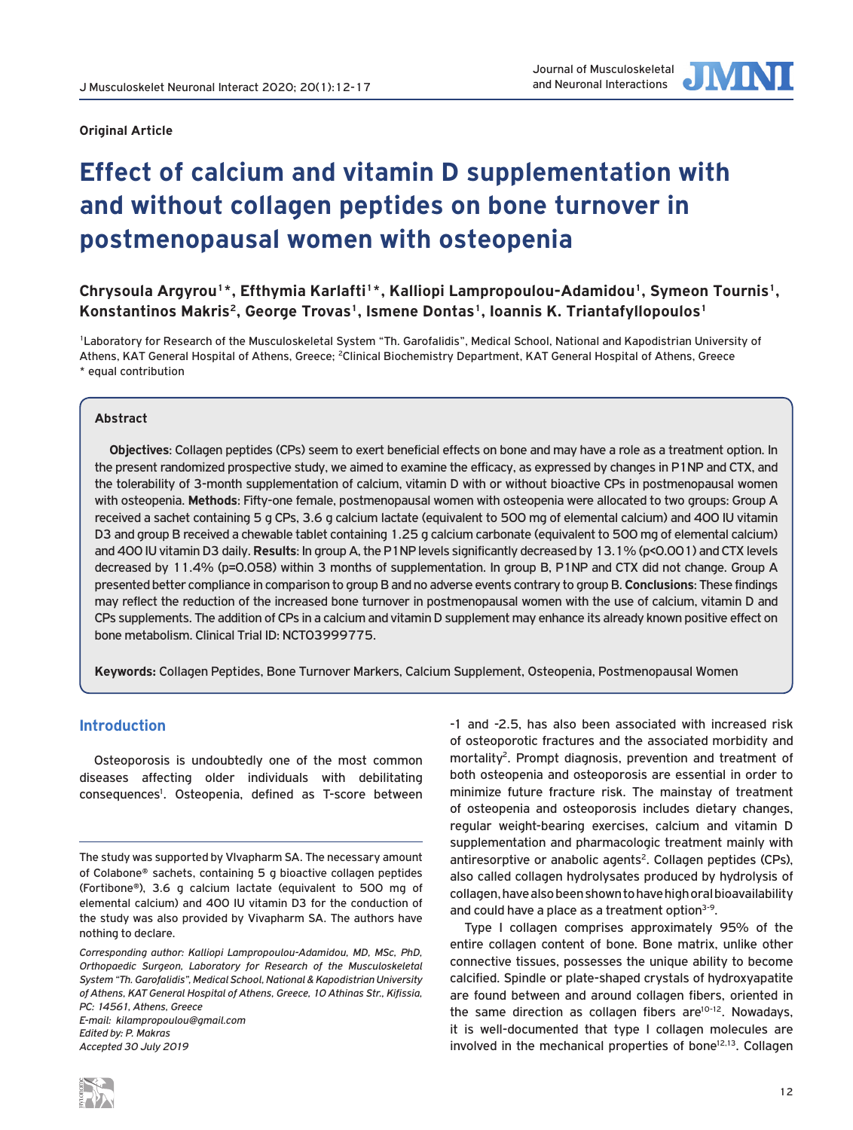

#### **Original Article**

# **Effect of calcium and vitamin D supplementation with and without collagen peptides on bone turnover in postmenopausal women with osteopenia**

Chrysoula Argyrou<sup>1\*</sup>, Efthymia Karlafti<sup>1\*</sup>, Kalliopi Lampropoulou-Adamidou<sup>1</sup>, Symeon Tournis<sup>1</sup>, **Konstantinos Makris2, George Trovas1, Ismene Dontas1, Ioannis K. Triantafyllopoulos1**

1Laboratory for Research of the Musculoskeletal System "Th. Garofalidis", Medical School, National and Kapodistrian University of Athens, KAT General Hospital of Athens, Greece; <sup>2</sup>Clinical Biochemistry Department, KAT General Hospital of Athens, Greece \* equal contribution

# **Abstract**

**Objectives**: Collagen peptides (CPs) seem to exert beneficial effects on bone and may have a role as a treatment option. In the present randomized prospective study, we aimed to examine the efficacy, as expressed by changes in P1NP and CTX, and the tolerability of 3-month supplementation of calcium, vitamin D with or without bioactive CPs in postmenopausal women with osteopenia. **Methods**: Fifty-one female, postmenopausal women with osteopenia were allocated to two groups: Group A received a sachet containing 5 g CPs, 3.6 g calcium lactate (equivalent to 500 mg of elemental calcium) and 400 IU vitamin D3 and group B received a chewable tablet containing 1.25 g calcium carbonate (equivalent to 500 mg of elemental calcium) and 400 IU vitamin D3 daily. **Results**: In group A, the P1NP levels significantly decreased by 13.1% (p<0.001) and CTX levels decreased by 11.4% (p=0.058) within 3 months of supplementation. In group B, P1NP and CTX did not change. Group A presented better compliance in comparison to group B and no adverse events contrary to group B. **Conclusions**: These findings may reflect the reduction of the increased bone turnover in postmenopausal women with the use of calcium, vitamin D and CPs supplements. The addition of CPs in a calcium and vitamin D supplement may enhance its already known positive effect on bone metabolism. Clinical Trial ID: NCT03999775.

**Keywords:** Collagen Peptides, Bone Turnover Markers, Calcium Supplement, Osteopenia, Postmenopausal Women

# **Introduction**

Osteoporosis is undoubtedly one of the most common diseases affecting older individuals with debilitating consequences<sup>1</sup>. Osteopenia, defined as T-score between

*E-mail: kilampropoulou@gmail.com Edited by: P. Makras Accepted 30 July 2019*



-1 and -2.5, has also been associated with increased risk of osteoporotic fractures and the associated morbidity and mortality<sup>2</sup>. Prompt diagnosis, prevention and treatment of both osteopenia and osteoporosis are essential in order to minimize future fracture risk. The mainstay of treatment of osteopenia and osteoporosis includes dietary changes, regular weight-bearing exercises, calcium and vitamin D supplementation and pharmacologic treatment mainly with antiresorptive or anabolic agents<sup>2</sup>. Collagen peptides (CPs), also called collagen hydrolysates produced by hydrolysis of collagen, have also been shown to have high oral bioavailability and could have a place as a treatment option<sup>3-9</sup>.

Type I collagen comprises approximately 95% of the entire collagen content of bone. Bone matrix, unlike other connective tissues, possesses the unique ability to become calcified. Spindle or plate-shaped crystals of hydroxyapatite are found between and around collagen fibers, oriented in the same direction as collagen fibers are $10-12$ . Nowadays, it is well-documented that type I collagen molecules are involved in the mechanical properties of bone<sup>12,13</sup>. Collagen

The study was supported by VIvapharm SA. The necessary amount of Colabone® sachets, containing 5 g bioactive collagen peptides (Fortibone®), 3.6 g calcium lactate (equivalent to 500 mg of elemental calcium) and 400 IU vitamin D3 for the conduction of the study was also provided by Vivapharm SA. The authors have nothing to declare.

*Corresponding author: Kalliopi Lampropoulou-Adamidou, MD, MSc, PhD, Orthopaedic Surgeon, Laboratory for Research of the Musculoskeletal System "Th. Garofalidis", Medical School, National & Kapodistrian University of Athens, KAT General Hospital of Athens, Greece, 10 Athinas Str., Kifissia, PC: 14561, Athens, Greece*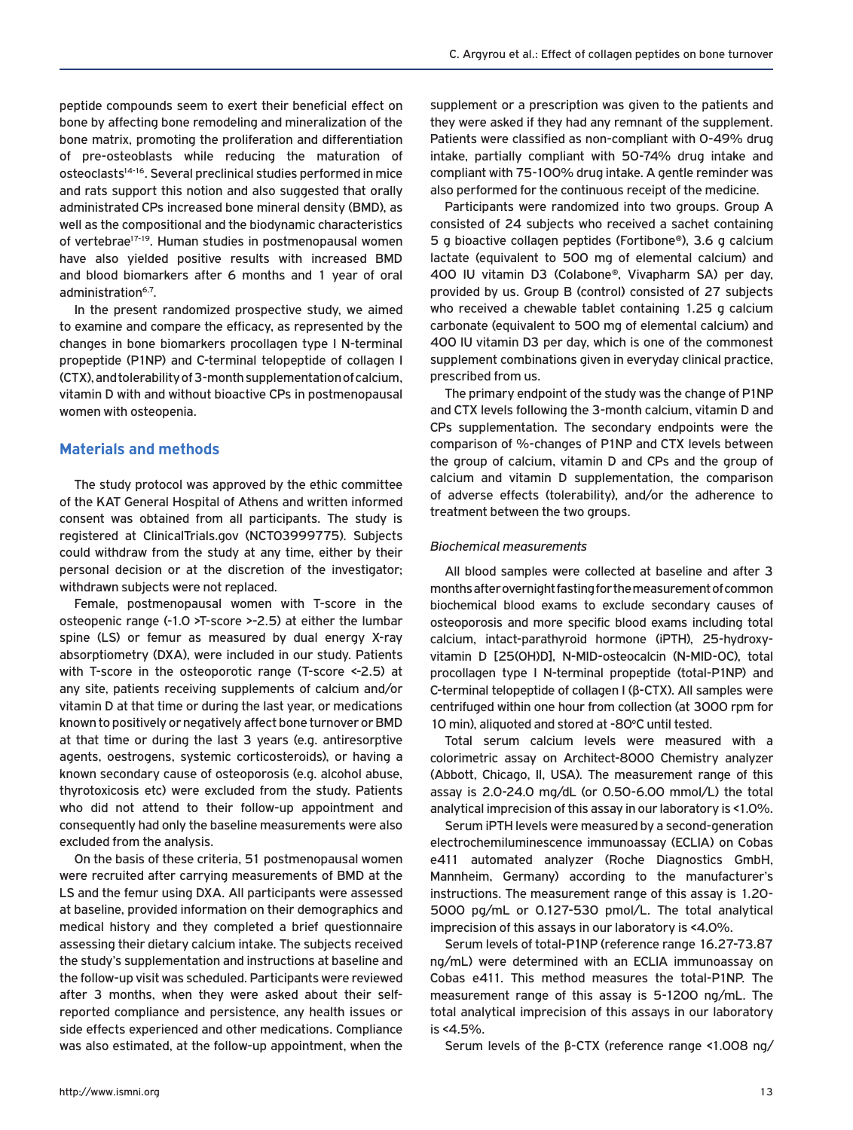peptide compounds seem to exert their beneficial effect on bone by affecting bone remodeling and mineralization of the bone matrix, promoting the proliferation and differentiation of pre-osteoblasts while reducing the maturation of osteoclasts<sup>14-16</sup>. Several preclinical studies performed in mice and rats support this notion and also suggested that orally administrated CPs increased bone mineral density (BMD), as well as the compositional and the biodynamic characteristics of vertebrae<sup>17-19</sup>. Human studies in postmenopausal women have also yielded positive results with increased BMD and blood biomarkers after 6 months and 1 year of oral administration<sup>6,7</sup>.

In the present randomized prospective study, we aimed to examine and compare the efficacy, as represented by the changes in bone biomarkers procollagen type I N-terminal propeptide (P1NP) and C-terminal telopeptide of collagen I (CTX), and tolerability of 3-month supplementation of calcium, vitamin D with and without bioactive CPs in postmenopausal women with osteopenia.

# **Materials and methods**

The study protocol was approved by the ethic committee of the KAT General Hospital of Athens and written informed consent was obtained from all participants. The study is registered at ClinicalTrials.gov (NCT03999775). Subjects could withdraw from the study at any time, either by their personal decision or at the discretion of the investigator; withdrawn subjects were not replaced.

Female, postmenopausal women with T-score in the osteopenic range (-1.0 >T-score >-2.5) at either the lumbar spine (LS) or femur as measured by dual energy X-ray absorptiometry (DXA), were included in our study. Patients with T-score in the osteoporotic range (T-score <-2.5) at any site, patients receiving supplements of calcium and/or vitamin D at that time or during the last year, or medications known to positively or negatively affect bone turnover or BMD at that time or during the last 3 years (e.g. antiresorptive agents, oestrogens, systemic corticosteroids), or having a known secondary cause of osteoporosis (e.g. alcohol abuse, thyrotoxicosis etc) were excluded from the study. Patients who did not attend to their follow-up appointment and consequently had only the baseline measurements were also excluded from the analysis.

On the basis of these criteria, 51 postmenopausal women were recruited after carrying measurements of BMD at the LS and the femur using DXA. All participants were assessed at baseline, provided information on their demographics and medical history and they completed a brief questionnaire assessing their dietary calcium intake. The subjects received the study's supplementation and instructions at baseline and the follow-up visit was scheduled. Participants were reviewed after 3 months, when they were asked about their selfreported compliance and persistence, any health issues or side effects experienced and other medications. Compliance was also estimated, at the follow-up appointment, when the

supplement or a prescription was given to the patients and they were asked if they had any remnant of the supplement. Patients were classified as non-compliant with 0-49% drug intake, partially compliant with 50-74% drug intake and compliant with 75-100% drug intake. A gentle reminder was also performed for the continuous receipt of the medicine.

Participants were randomized into two groups. Group A consisted of 24 subjects who received a sachet containing 5 g bioactive collagen peptides (Fortibone®), 3.6 g calcium lactate (equivalent to 500 mg of elemental calcium) and 400 IU vitamin D3 (Colabone®, Vivapharm SA) per day, provided by us. Group B (control) consisted of 27 subjects who received a chewable tablet containing 1.25 g calcium carbonate (equivalent to 500 mg of elemental calcium) and 400 IU vitamin D3 per day, which is one of the commonest supplement combinations given in everyday clinical practice, prescribed from us.

The primary endpoint of the study was the change of P1NP and CTX levels following the 3-month calcium, vitamin D and CPs supplementation. The secondary endpoints were the comparison of %-changes of P1NP and CTX levels between the group of calcium, vitamin D and CPs and the group of calcium and vitamin D supplementation, the comparison of adverse effects (tolerability), and/or the adherence to treatment between the two groups.

#### *Biochemical measurements*

All blood samples were collected at baseline and after 3 months after overnight fasting for the measurement of common biochemical blood exams to exclude secondary causes of osteoporosis and more specific blood exams including total calcium, intact-parathyroid hormone (iPTH), 25-hydroxyvitamin D [25(OH)D], N-MID-osteocalcin (N-MID-OC), total procollagen type I N-terminal propeptide (total-P1NP) and C-terminal telopeptide of collagen I (β-CTX). All samples were centrifuged within one hour from collection (at 3000 rpm for 10 min), aliquoted and stored at -80°C until tested.

Total serum calcium levels were measured with a colorimetric assay on Architect-8000 Chemistry analyzer (Abbott, Chicago, Il, USA). The measurement range of this assay is 2.0-24.0 mg/dL (or 0.50-6.00 mmol/L) the total analytical imprecision of this assay in our laboratory is <1.0%.

Serum iPTH levels were measured by a second-generation electrochemiluminescence immunoassay (ECLIA) on Cobas e411 automated analyzer (Roche Diagnostics GmbH, Mannheim, Germany) according to the manufacturer's instructions. The measurement range of this assay is 1.20- 5000 pg/mL or 0.127-530 pmol/L. The total analytical imprecision of this assays in our laboratory is <4.0%.

Serum levels of total-P1NP (reference range 16.27-73.87 ng/mL) were determined with an ECLIA immunoassay on Cobas e411. This method measures the total-P1NP. The measurement range of this assay is 5-1200 ng/mL. The total analytical imprecision of this assays in our laboratory is <4.5%.

Serum levels of the β-CTX (reference range <1.008 ng/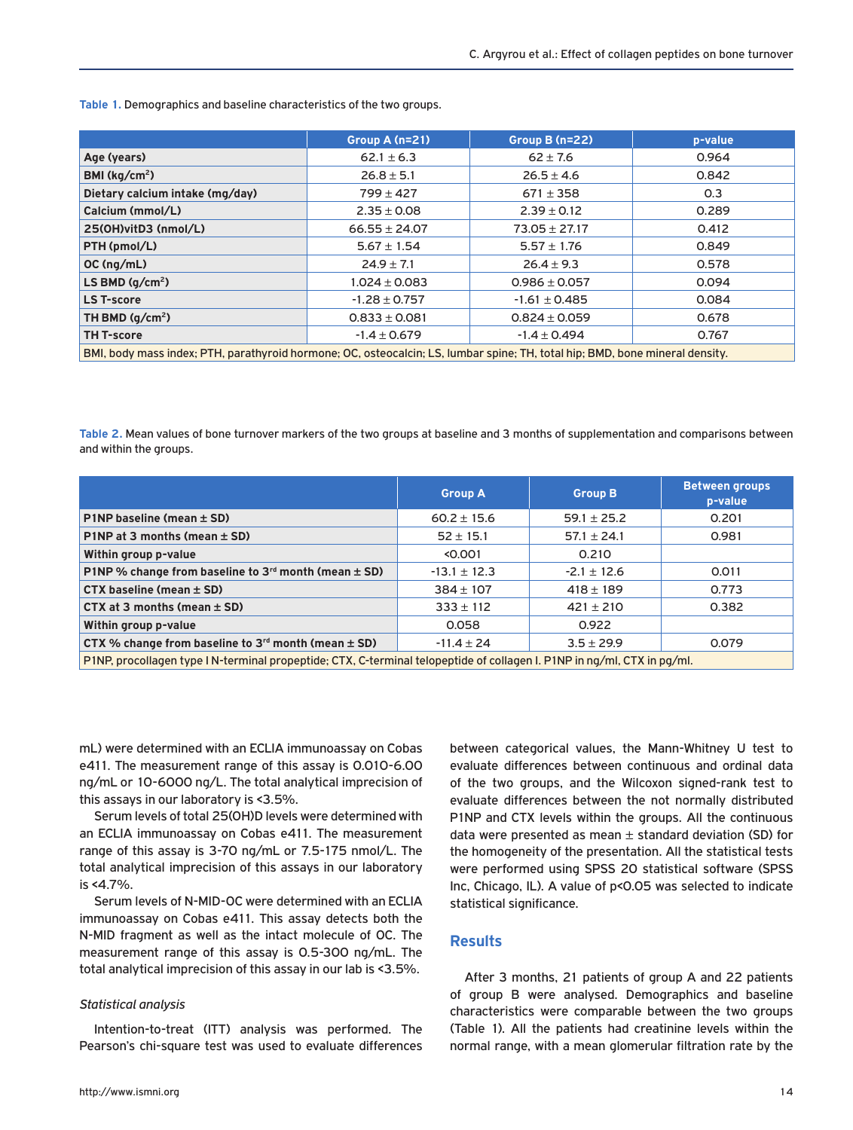**Table 1.** Demographics and baseline characteristics of the two groups.

|                                                                                                                              | Group A $(n=21)$  | Group B (n=22)    | p-value |  |  |
|------------------------------------------------------------------------------------------------------------------------------|-------------------|-------------------|---------|--|--|
| Age (years)                                                                                                                  | $62.1 \pm 6.3$    | $62 \pm 7.6$      | 0.964   |  |  |
| BMI ( $kg/cm2$ )                                                                                                             | $26.8 \pm 5.1$    | $26.5 \pm 4.6$    | 0.842   |  |  |
| Dietary calcium intake (mg/day)                                                                                              | $799 \pm 427$     | $671 \pm 358$     | 0.3     |  |  |
| Calcium (mmol/L)                                                                                                             | $2.35 \pm 0.08$   | $2.39 \pm 0.12$   | 0.289   |  |  |
| 25(OH)vitD3 (nmol/L)                                                                                                         | $66.55 \pm 24.07$ | $73.05 \pm 27.17$ | 0.412   |  |  |
| PTH (pmol/L)                                                                                                                 | $5.67 \pm 1.54$   | $5.57 \pm 1.76$   | 0.849   |  |  |
| OC(nq/mL)                                                                                                                    | $24.9 \pm 7.1$    | $26.4 \pm 9.3$    | 0.578   |  |  |
| LS BMD $(q/cm2)$                                                                                                             | $1.024 \pm 0.083$ | $0.986 \pm 0.057$ | 0.094   |  |  |
| <b>LS T-score</b>                                                                                                            | $-1.28 \pm 0.757$ | $-1.61 \pm 0.485$ | 0.084   |  |  |
| TH BMD $(q/cm2)$                                                                                                             | $0.833 \pm 0.081$ | $0.824 \pm 0.059$ | 0.678   |  |  |
| <b>TH T-score</b>                                                                                                            | $-1.4 \pm 0.679$  | $-1.4 \pm 0.494$  | 0.767   |  |  |
| BMI, body mass index; PTH, parathyroid hormone; OC, osteocalcin; LS, lumbar spine; TH, total hip; BMD, bone mineral density. |                   |                   |         |  |  |

**Table 2.** Mean values of bone turnover markers of the two groups at baseline and 3 months of supplementation and comparisons between and within the groups.

|                                                                                                                        | <b>Group A</b>   | <b>Group B</b>  | <b>Between groups</b><br>p-value |  |  |
|------------------------------------------------------------------------------------------------------------------------|------------------|-----------------|----------------------------------|--|--|
| P1NP baseline (mean $\pm$ SD)                                                                                          | $60.2 \pm 15.6$  | $59.1 \pm 25.2$ | 0.201                            |  |  |
| P1NP at 3 months (mean $\pm$ SD)                                                                                       | $52 \pm 15.1$    | $57.1 \pm 24.1$ | 0.981                            |  |  |
| Within group p-value                                                                                                   | < 0.001          | 0.210           |                                  |  |  |
| P1NP % change from baseline to $3rd$ month (mean $\pm$ SD)                                                             | $-13.1 \pm 12.3$ | $-2.1 \pm 12.6$ | 0.011                            |  |  |
| $CTX$ baseline (mean $\pm$ SD)                                                                                         | $384 \pm 107$    | $418 \pm 189$   | 0.773                            |  |  |
| CTX at 3 months (mean $\pm$ SD)                                                                                        | $333 \pm 112$    | $421 \pm 210$   | 0.382                            |  |  |
| Within group p-value                                                                                                   | 0.058            | 0.922           |                                  |  |  |
| CTX % change from baseline to $3rd$ month (mean $\pm$ SD)                                                              | $-11.4 \pm 24$   | $3.5 \pm 29.9$  | 0.079                            |  |  |
| P1NP, procollagen type IN-terminal propeptide; CTX, C-terminal telopeptide of collagen I. P1NP in ng/ml, CTX in pg/ml. |                  |                 |                                  |  |  |

mL) were determined with an ECLIA immunoassay on Cobas e411. The measurement range of this assay is 0.010-6.00 ng/mL or 10-6000 ng/L. The total analytical imprecision of this assays in our laboratory is <3.5%.

Serum levels of total 25(OH)D levels were determined with an ECLIA immunoassay on Cobas e411. The measurement range of this assay is 3-70 ng/mL or 7.5-175 nmol/L. The total analytical imprecision of this assays in our laboratory is <4.7%.

Serum levels of N-MID-OC were determined with an ECLIA immunoassay on Cobas e411. This assay detects both the N-MID fragment as well as the intact molecule of OC. The measurement range of this assay is 0.5-300 ng/mL. The total analytical imprecision of this assay in our lab is <3.5%.

#### *Statistical analysis*

Intention-to-treat (ITT) analysis was performed. The Pearson's chi-square test was used to evaluate differences between categorical values, the Mann-Whitney U test to evaluate differences between continuous and ordinal data of the two groups, and the Wilcoxon signed-rank test to evaluate differences between the not normally distributed P1NP and CTX levels within the groups. All the continuous data were presented as mean  $\pm$  standard deviation (SD) for the homogeneity of the presentation. All the statistical tests were performed using SPSS 20 statistical software (SPSS Inc, Chicago, IL). A value of p<0.05 was selected to indicate statistical significance.

# **Results**

After 3 months, 21 patients of group A and 22 patients of group B were analysed. Demographics and baseline characteristics were comparable between the two groups (Table 1). All the patients had creatinine levels within the normal range, with a mean glomerular filtration rate by the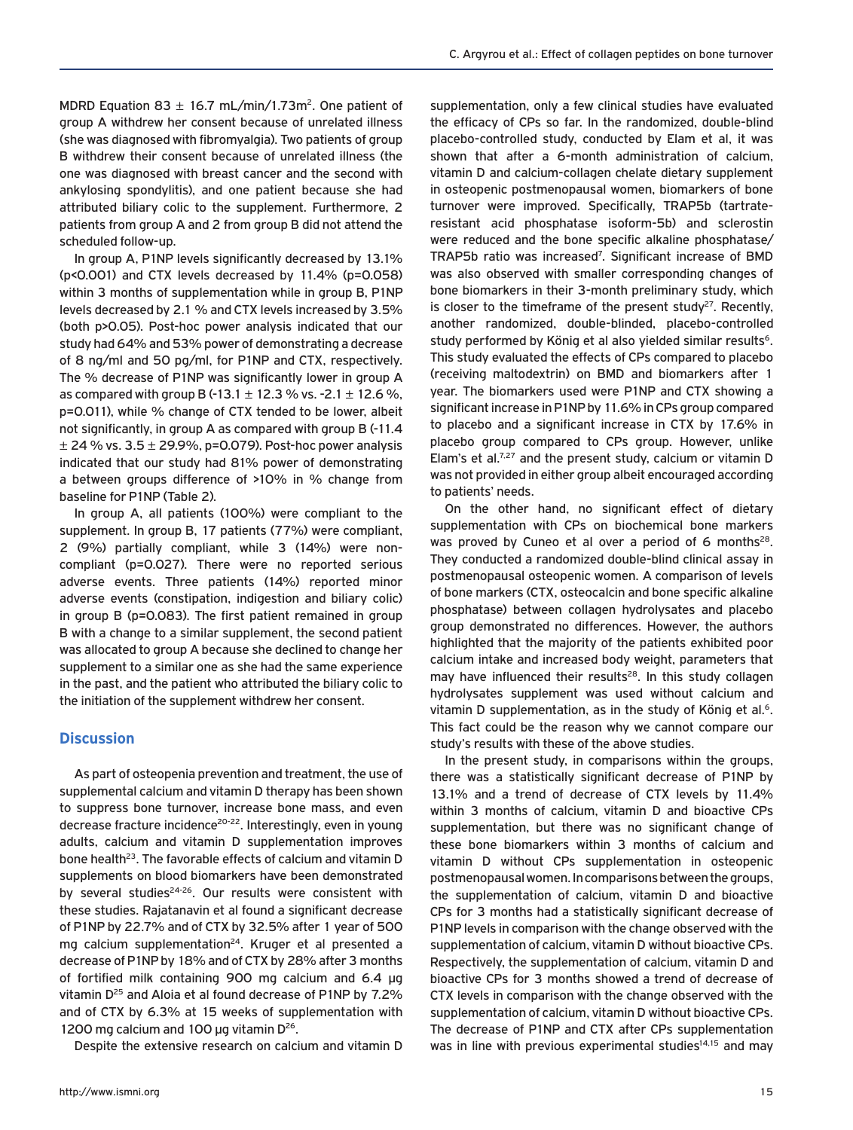MDRD Equation 83  $\pm$  16.7 mL/min/1.73m<sup>2</sup>. One patient of group A withdrew her consent because of unrelated illness (she was diagnosed with fibromyalgia). Two patients of group B withdrew their consent because of unrelated illness (the one was diagnosed with breast cancer and the second with ankylosing spondylitis), and one patient because she had attributed biliary colic to the supplement. Furthermore, 2 patients from group A and 2 from group B did not attend the scheduled follow-up.

Ιn group A, P1NP levels significantly decreased by 13.1% (p<0.001) and CTX levels decreased by 11.4% (p=0.058) within 3 months of supplementation while in group B, P1NP levels decreased by 2.1 % and CTX levels increased by 3.5% (both p>0.05). Post-hoc power analysis indicated that our study had 64% and 53% power of demonstrating a decrease of 8 ng/ml and 50 pg/ml, for P1NP and CTX, respectively. The % decrease of P1NP was significantly lower in group A as compared with group B (-13.1  $\pm$  12.3 % vs. -2.1  $\pm$  12.6 %, p=0.011), while % change of CTX tended to be lower, albeit not significantly, in group A as compared with group B (-11.4  $\pm$  24 % vs. 3.5  $\pm$  29.9%, p=0.079). Post-hoc power analysis indicated that our study had 81% power of demonstrating a between groups difference of >10% in % change from baseline for P1NP (Table 2).

In group A, all patients (100%) were compliant to the supplement. In group B, 17 patients (77%) were compliant, 2 (9%) partially compliant, while 3 (14%) were noncompliant (p=0.027). There were no reported serious adverse events. Three patients (14%) reported minor adverse events (constipation, indigestion and biliary colic) in group B (p=0.083). The first patient remained in group B with a change to a similar supplement, the second patient was allocated to group A because she declined to change her supplement to a similar one as she had the same experience in the past, and the patient who attributed the biliary colic to the initiation of the supplement withdrew her consent.

# **Discussion**

As part of osteopenia prevention and treatment, the use of supplemental calcium and vitamin D therapy has been shown to suppress bone turnover, increase bone mass, and even decrease fracture incidence<sup>20-22</sup>. Interestingly, even in young adults, calcium and vitamin D supplementation improves bone health<sup>23</sup>. The favorable effects of calcium and vitamin D supplements on blood biomarkers have been demonstrated by several studies<sup>24-26</sup>. Our results were consistent with these studies. Rajatanavin et al found a significant decrease of P1NP by 22.7% and of CTX by 32.5% after 1 year of 500 mg calcium supplementation<sup>24</sup>. Kruger et al presented a decrease of P1NP by 18% and of CTX by 28% after 3 months of fortified milk containing 900 mg calcium and 6.4 μg vitamin D<sup>25</sup> and Aloia et al found decrease of P1NP by 7.2% and of CTX by 6.3% at 15 weeks of supplementation with 1200 mg calcium and 100 μg vitamin D<sup>26</sup>.

Despite the extensive research on calcium and vitamin D

supplementation, only a few clinical studies have evaluated the efficacy of CPs so far. In the randomized, double-blind placebo-controlled study, conducted by Elam et al, it was shown that after a 6-month administration of calcium, vitamin D and calcium-collagen chelate dietary supplement in osteopenic postmenopausal women, biomarkers of bone turnover were improved. Specifically, TRAP5b (tartrateresistant acid phosphatase isoform-5b) and sclerostin were reduced and the bone specific alkaline phosphatase/ TRAP5b ratio was increased<sup>7</sup>. Significant increase of BMD was also observed with smaller corresponding changes of bone biomarkers in their 3-month preliminary study, which is closer to the timeframe of the present study<sup>27</sup>. Recently, another randomized, double-blinded, placebo-controlled study performed by König et al also yielded similar results<sup>6</sup>. This study evaluated the effects of CPs compared to placebo (receiving maltodextrin) on BMD and biomarkers after 1 year. The biomarkers used were P1NP and CTX showing a significant increase in P1NP by 11.6% in CPs group compared to placebo and a significant increase in CTX by 17.6% in placebo group compared to CPs group. However, unlike Elam's et al.<sup>7,27</sup> and the present study, calcium or vitamin D was not provided in either group albeit encouraged according to patients' needs.

On the other hand, no significant effect of dietary supplementation with CPs on biochemical bone markers was proved by Cuneo et al over a period of 6 months $^{28}$ . They conducted a randomized double-blind clinical assay in postmenopausal osteopenic women. A comparison of levels of bone markers (CTX, osteocalcin and bone specific alkaline phosphatase) between collagen hydrolysates and placebo group demonstrated no differences. However, the authors highlighted that the majority of the patients exhibited poor calcium intake and increased body weight, parameters that may have influenced their results<sup>28</sup>. In this study collagen hydrolysates supplement was used without calcium and vitamin D supplementation, as in the study of König et al.<sup>6</sup>. This fact could be the reason why we cannot compare our study's results with these of the above studies.

In the present study, in comparisons within the groups, there was a statistically significant decrease of P1NP by 13.1% and a trend of decrease of CTX levels by 11.4% within 3 months of calcium, vitamin D and bioactive CPs supplementation, but there was no significant change of these bone biomarkers within 3 months of calcium and vitamin D without CPs supplementation in osteopenic postmenopausal women. In comparisons between the groups, the supplementation of calcium, vitamin D and bioactive CPs for 3 months had a statistically significant decrease of P1NP levels in comparison with the change observed with the supplementation of calcium, vitamin D without bioactive CPs. Respectively, the supplementation of calcium, vitamin D and bioactive CPs for 3 months showed a trend of decrease of CTX levels in comparison with the change observed with the supplementation of calcium, vitamin D without bioactive CPs. The decrease of P1NP and CTX after CPs supplementation was in line with previous experimental studies<sup>14,15</sup> and may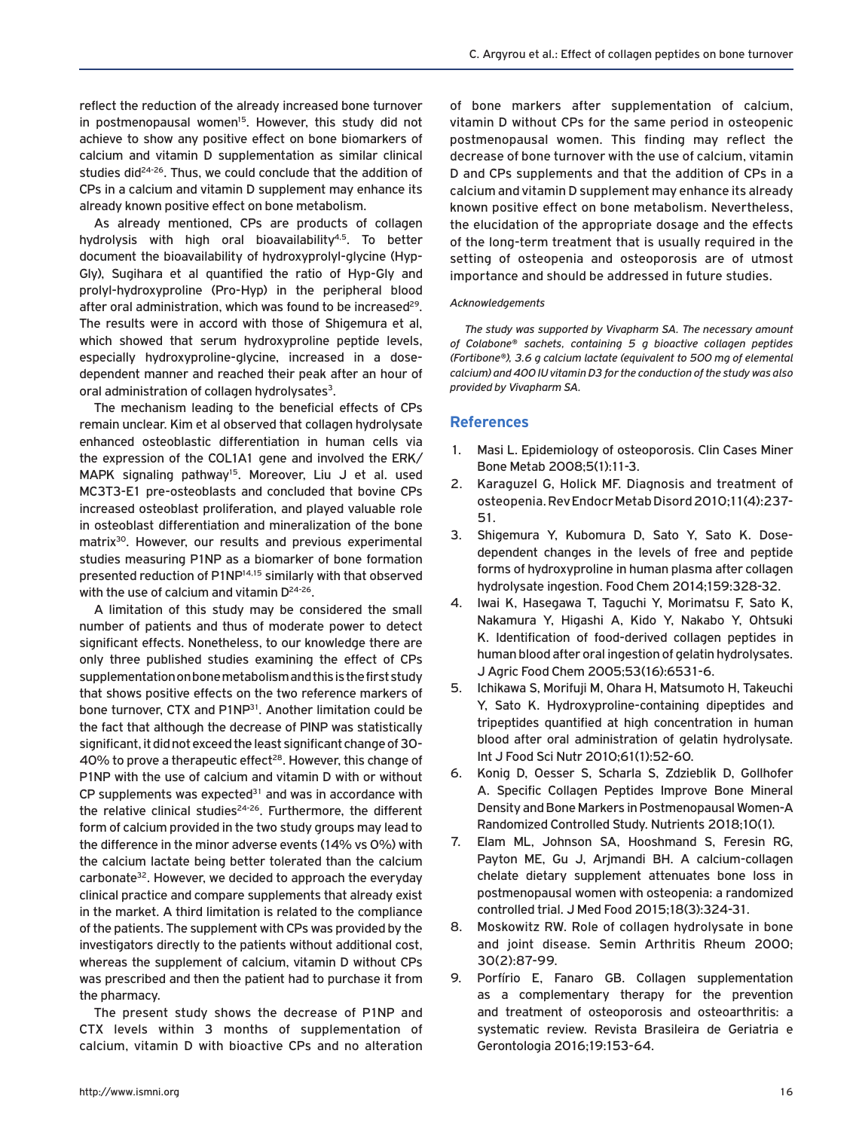reflect the reduction of the already increased bone turnover in postmenopausal women<sup>15</sup>. However, this study did not achieve to show any positive effect on bone biomarkers of calcium and vitamin D supplementation as similar clinical studies did<sup>24-26</sup>. Thus, we could conclude that the addition of CPs in a calcium and vitamin D supplement may enhance its already known positive effect on bone metabolism.

As already mentioned, CPs are products of collagen hydrolysis with high oral bioavailability<sup>4,5</sup>. To better document the bioavailability of hydroxyprolyl-glycine (Hyp-Gly), Sugihara et al quantified the ratio of Hyp-Gly and prolyl-hydroxyproline (Pro-Hyp) in the peripheral blood after oral administration, which was found to be increased<sup>29</sup>. The results were in accord with those of Shigemura et al, which showed that serum hydroxyproline peptide levels, especially hydroxyproline-glycine, increased in a dosedependent manner and reached their peak after an hour of oral administration of collagen hydrolysates<sup>3</sup>.

The mechanism leading to the beneficial effects of CPs remain unclear. Kim et al observed that collagen hydrolysate enhanced osteoblastic differentiation in human cells via the expression of the COL1A1 gene and involved the ERK/ MAPK signaling pathway<sup>15</sup>. Moreover, Liu J et al. used MC3T3-E1 pre-osteoblasts and concluded that bovine CPs increased osteoblast proliferation, and played valuable role in osteoblast differentiation and mineralization of the bone matrix<sup>30</sup>. However, our results and previous experimental studies measuring P1NP as a biomarker of bone formation presented reduction of P1NP<sup>14,15</sup> similarly with that observed with the use of calcium and vitamin  $D^{24-26}$ .

A limitation of this study may be considered the small number of patients and thus of moderate power to detect significant effects. Nonetheless, to our knowledge there are only three published studies examining the effect of CPs supplementation on bone metabolism and this is the first study that shows positive effects on the two reference markers of bone turnover, CTX and P1NP<sup>31</sup>. Another limitation could be the fact that although the decrease of PINP was statistically significant, it did not exceed the least significant change of 30- 40% to prove a therapeutic effect<sup>28</sup>. However, this change of P1NP with the use of calcium and vitamin D with or without CP supplements was expected $31$  and was in accordance with the relative clinical studies<sup>24-26</sup>. Furthermore, the different form of calcium provided in the two study groups may lead to the difference in the minor adverse events (14% vs 0%) with the calcium lactate being better tolerated than the calcium carbonate<sup>32</sup>. However, we decided to approach the everyday clinical practice and compare supplements that already exist in the market. A third limitation is related to the compliance of the patients. The supplement with CPs was provided by the investigators directly to the patients without additional cost, whereas the supplement of calcium, vitamin D without CPs was prescribed and then the patient had to purchase it from the pharmacy.

The present study shows the decrease of P1NP and CTX levels within 3 months of supplementation of calcium, vitamin D with bioactive CPs and no alteration of bone markers after supplementation of calcium, vitamin D without CPs for the same period in osteopenic postmenopausal women. This finding may reflect the decrease of bone turnover with the use of calcium, vitamin D and CPs supplements and that the addition of CPs in a calcium and vitamin D supplement may enhance its already known positive effect on bone metabolism. Nevertheless, the elucidation of the appropriate dosage and the effects of the long-term treatment that is usually required in the setting of osteopenia and osteoporosis are of utmost importance and should be addressed in future studies.

#### *Acknowledgements*

*The study was supported by Vivapharm SA. The necessary amount of Colabone® sachets, containing 5 g bioactive collagen peptides (Fortibone®), 3.6 g calcium lactate (equivalent to 500 mg of elemental calcium) and 400 IU vitamin D3 for the conduction of the study was also provided by Vivapharm SA.*

## **References**

- 1. Masi L. Epidemiology of osteoporosis. Clin Cases Miner Bone Metab 2008;5(1):11-3.
- 2. Karaguzel G, Holick MF. Diagnosis and treatment of osteopenia. Rev Endocr Metab Disord 2010;11(4):237- 51.
- 3. Shigemura Y, Kubomura D, Sato Y, Sato K. Dosedependent changes in the levels of free and peptide forms of hydroxyproline in human plasma after collagen hydrolysate ingestion. Food Chem 2014;159:328-32.
- 4. Iwai K, Hasegawa T, Taguchi Y, Morimatsu F, Sato K, Nakamura Y, Higashi A, Kido Y, Nakabo Y, Ohtsuki K. Identification of food-derived collagen peptides in human blood after oral ingestion of gelatin hydrolysates. J Agric Food Chem 2005;53(16):6531-6.
- 5. Ichikawa S, Morifuji M, Ohara H, Matsumoto H, Takeuchi Y, Sato K. Hydroxyproline-containing dipeptides and tripeptides quantified at high concentration in human blood after oral administration of gelatin hydrolysate. Int J Food Sci Nutr 2010;61(1):52-60.
- 6. Konig D, Oesser S, Scharla S, Zdzieblik D, Gollhofer A. Specific Collagen Peptides Improve Bone Mineral Density and Bone Markers in Postmenopausal Women-A Randomized Controlled Study. Nutrients 2018;10(1).
- 7. Elam ML, Johnson SA, Hooshmand S, Feresin RG, Payton ME, Gu J, Arjmandi BH. A calcium-collagen chelate dietary supplement attenuates bone loss in postmenopausal women with osteopenia: a randomized controlled trial. J Med Food 2015;18(3):324-31.
- 8. Moskowitz RW. Role of collagen hydrolysate in bone and joint disease. Semin Arthritis Rheum 2000; 30(2):87-99.
- 9. Porfírio E, Fanaro GB. Collagen supplementation as a complementary therapy for the prevention and treatment of osteoporosis and osteoarthritis: a systematic review. Revista Brasileira de Geriatria e Gerontologia 2016;19:153-64.